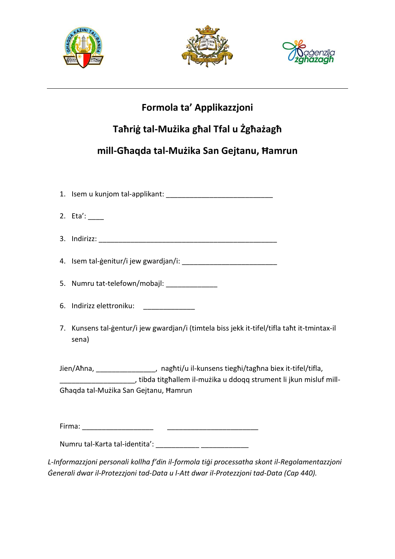





# Formola ta' Applikazzjoni

# Tahrig tal-Mużika ghal Tfal u Żghażagh

# mill-Ghaqda tal-Mużika San Gejtanu, Hamrun

2. Eta': 5. Numru tat-telefown/mobajl: 6. Indirizz elettroniku: 7. Kunsens tal-gentur/i jew gwardjan/i (timtela biss jekk it-tifel/tifla taht it-tmintax-il sena) Jien/Aħna, \_\_\_\_\_\_\_\_\_\_\_\_\_\_\_\_, nagħti/u il-kunsens tiegħi/tagħna biex it-tifel/tifla, , tibda titghallem il-muzika u ddogg strument li jkun misluf mill-Ghaqda tal-Muzika San Gejtanu, Hamrun Numru tal-Karta tal-identita': L-Informazzjoni personali kollha f'din il-formola tigi processatha skont il-Regolamentazzjoni

Generali dwar il-Protezzjoni tad-Data u l-Att dwar il-Protezzjoni tad-Data (Cap 440).